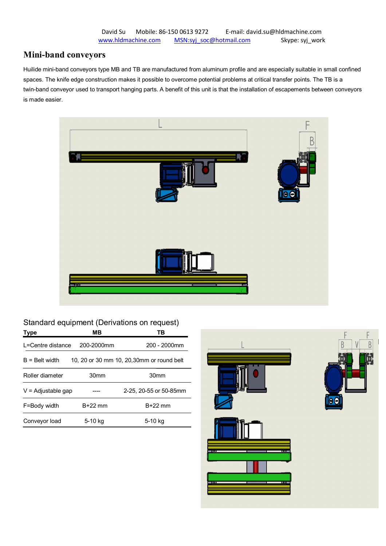# **Mini-band conveyors**

Huilide mini-band conveyors type MB and TB are manufactured from aluminum profile and are especially suitable in small confined spaces. The knife edge construction makes it possible to overcome potential problems at critical transfer points. The TB is a twin-band conveyor used to transport hanging parts. A benefit of this unit is that the installation of escapements between conveyors is made easier.



## Standard equipment (Derivations on request)

| Type                                                          | MВ               | TB                     |  |
|---------------------------------------------------------------|------------------|------------------------|--|
| L=Centre distance                                             | 200-2000mm       | 200 - 2000mm           |  |
| 10, 20 or 30 mm 10, 20,30mm or round belt<br>$B =$ Belt width |                  |                        |  |
| Roller diameter                                               | 30 <sub>mm</sub> | 30mm                   |  |
| $V =$ Adjustable gap                                          |                  | 2-25, 20-55 or 50-85mm |  |
| F=Body width                                                  | $B+22$ mm        | $B+22$ mm              |  |
| Conveyor load                                                 | 5-10 kg          | 5-10 kg                |  |



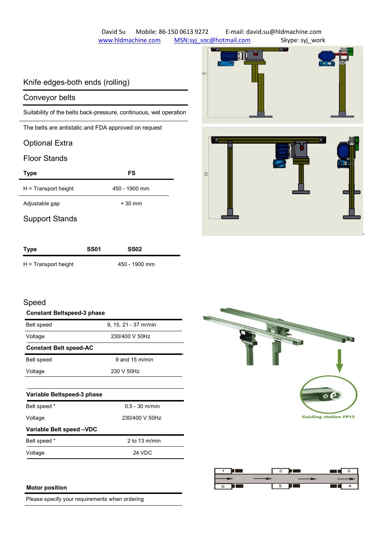David Su Mobile: 86-150 0613 9272 E-mail: david.su@hldmachine.com www.hldmachine.com MSN:syj\_soc@hotmail.com Skype: syj\_work

m

# Knife edges-both ends (rolling)

### Conveyor belts

Suitability of the belts back-pressure, continuous, wet operation

The belts are antistatic and FDA approved on request

## Optional Extra

## Floor Stands

| <b>Type</b>            | FS            |
|------------------------|---------------|
| $H =$ Transport height | 450 - 1900 mm |
| Adjustable gap         | $+30$ mm      |
| <b>Support Stands</b>  |               |



| <b>Type</b>            | <b>SS01</b> | SS02          |  |
|------------------------|-------------|---------------|--|
| $H =$ Transport height |             | 450 - 1900 mm |  |

## Speed

| <b>Constant Beltspeed-3 phase</b> |                      |  |  |
|-----------------------------------|----------------------|--|--|
| Belt speed                        | 9, 15, 21 - 37 m/min |  |  |
| Voltage                           | 230/400 V 50Hz       |  |  |
| <b>Constant Belt speed-AC</b>     |                      |  |  |
| Belt speed                        | 9 and 15 $m/min$     |  |  |
| Voltage                           | 230 V 50Hz           |  |  |
|                                   |                      |  |  |
| Variable Beltspeed-3 phase        |                      |  |  |

| Belt speed *             | $0.5 - 30$ m/min |  |
|--------------------------|------------------|--|
| Voltage                  | 230/400 V 50Hz   |  |
| Variable Belt speed -VDC |                  |  |
| Belt speed *             | 2 to 13 $m/min$  |  |
| Voltage                  | 24 VDC           |  |





#### **Motor position**

Please specify your requirements when ordering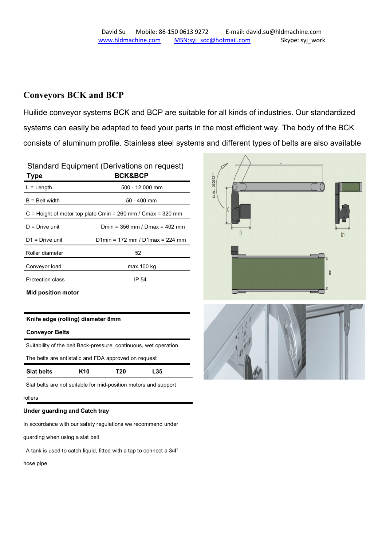# **Conveyors BCK and BCP**

Huilide conveyor systems BCK and BCP are suitable for all kinds of industries. Our standardized systems can easily be adapted to feed your parts in the most efficient way. The body of the BCK consists of aluminum profile. Stainless steel systems and different types of belts are also available

| Standard Equipment (Derivations on request)<br><b>BCK&amp;BCP</b><br><b>Type</b> |                                   |  |  |
|----------------------------------------------------------------------------------|-----------------------------------|--|--|
| $L =$ Length                                                                     | 500 - 12.000 mm                   |  |  |
| $B =$ Belt width<br>$50 - 400$ mm                                                |                                   |  |  |
| $C =$ Height of motor top plate Cmin = 260 mm / Cmax = 320 mm                    |                                   |  |  |
| $D = Drive$ unit                                                                 | Dmin = $356$ mm / Dmax = $402$ mm |  |  |
| $D1 = Drive$ unit                                                                | D1min = 172 mm / D1max = 224 mm   |  |  |
| Roller diameter                                                                  | 52                                |  |  |
| Conveyor load                                                                    | max. 100 kg                       |  |  |
| Protection class                                                                 | IP 54                             |  |  |

**Mid position motor**

#### **Knife edge (rolling) diameter 8mm**

#### **Conveyor Belts**

| <b>Slat belts</b>                                                | K <sub>10</sub> | T20 | L35 |  |
|------------------------------------------------------------------|-----------------|-----|-----|--|
| The belts are antistatic and FDA approved on request             |                 |     |     |  |
| Suitability of the belt Back-pressure, continuous, wet operation |                 |     |     |  |

Slat belts are not suitable for mid-position motors and support

#### rollers

#### **Under guarding and Catch tray**

In accordance with our safety regulations we recommend under

guarding when using a slat belt

A tank is used to catch liquid, fitted with a tap to connect a 3/4"

hose pipe



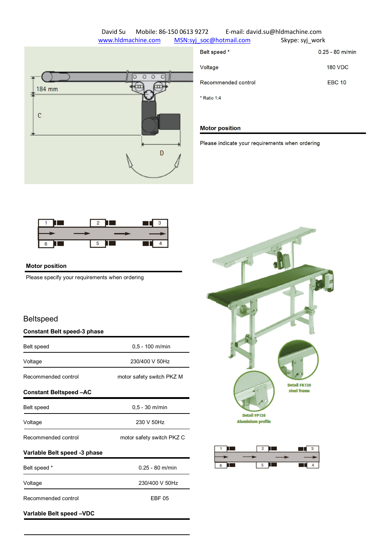## David Su Mobile: 86-150 0613 9272 E-mail: david.su@hldmachine.com www.hldmachine.com MSN:syj\_soc@hotmail.com Skype: syj\_work



| Belt speed *        | $0.25 - 80$ m/min |
|---------------------|-------------------|
| Voltage             | <b>180 VDC</b>    |
| Recommended control | <b>EBC 10</b>     |
| * Ratio 1:4         |                   |

#### **Motor position**

Please indicate your requirements when ordering



#### **Motor position**

Please specify your requirements when ordering

## Beltspeed

#### **Constant Belt speed-3 phase**

| Belt speed                                       | $0,5 - 100$ m/min         |  |
|--------------------------------------------------|---------------------------|--|
| Voltage                                          | 230/400 V 50Hz            |  |
| Recommended control                              | motor safety switch PKZ M |  |
| <b>Constant Beltspeed-AC</b>                     |                           |  |
| <b>Belt speed</b>                                | $0,5 - 30$ m/min          |  |
| Voltage                                          | 230 V 50Hz                |  |
| Recommended control<br>motor safety switch PKZ C |                           |  |
| Varlable Belt speed -3 phase                     |                           |  |
| Belt speed *                                     | $0.25 - 80$ m/min         |  |
| Voltage                                          | 230/400 V 50Hz            |  |
| Recommended control<br><b>EBF 05</b>             |                           |  |
| Variable Belt speed -VDC                         |                           |  |



| $\blacksquare$ |                       | $\blacksquare$ 3 |
|----------------|-----------------------|------------------|
|                |                       |                  |
| <b>6 1</b>     | $5\quad \blacksquare$ | $\blacksquare$ 4 |